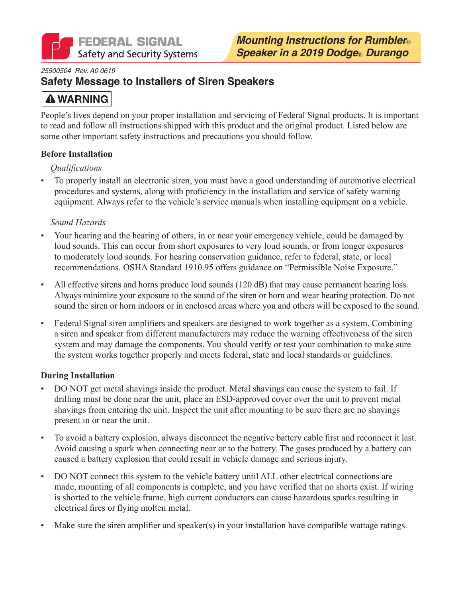

#### *25500504 Rev. A0 0619*

### **Safety Message to Installers of Siren Speakers**

# **A WARNING**

People's lives depend on your proper installation and servicing of Federal Signal products. It is important to read and follow all instructions shipped with this product and the original product. Listed below are some other important safety instructions and precautions you should follow.

#### **Before Installation**

#### *Qualifications*

• To properly install an electronic siren, you must have a good understanding of automotive electrical procedures and systems, along with proficiency in the installation and service of safety warning equipment. Always refer to the vehicle's service manuals when installing equipment on a vehicle.

#### *Sound Hazards*

- Your hearing and the hearing of others, in or near your emergency vehicle, could be damaged by loud sounds. This can occur from short exposures to very loud sounds, or from longer exposures to moderately loud sounds. For hearing conservation guidance, refer to federal, state, or local recommendations. OSHA Standard 1910.95 offers guidance on "Permissible Noise Exposure."
- All effective sirens and horns produce loud sounds (120 dB) that may cause permanent hearing loss. Always minimize your exposure to the sound of the siren or horn and wear hearing protection. Do not sound the siren or horn indoors or in enclosed areas where you and others will be exposed to the sound.
- Federal Signal siren amplifiers and speakers are designed to work together as a system. Combining a siren and speaker from different manufacturers may reduce the warning effectiveness of the siren system and may damage the components. You should verify or test your combination to make sure the system works together properly and meets federal, state and local standards or guidelines.

#### **During Installation**

- DO NOT get metal shavings inside the product. Metal shavings can cause the system to fail. If drilling must be done near the unit, place an ESD-approved cover over the unit to prevent metal shavings from entering the unit. Inspect the unit after mounting to be sure there are no shavings present in or near the unit.
- To avoid a battery explosion, always disconnect the negative battery cable first and reconnect it last. Avoid causing a spark when connecting near or to the battery. The gases produced by a battery can caused a battery explosion that could result in vehicle damage and serious injury.
- DO NOT connect this system to the vehicle battery until ALL other electrical connections are made, mounting of all components is complete, and you have verified that no shorts exist. If wiring is shorted to the vehicle frame, high current conductors can cause hazardous sparks resulting in electrical fires or flying molten metal.
- Make sure the siren amplifier and speaker(s) in your installation have compatible wattage ratings.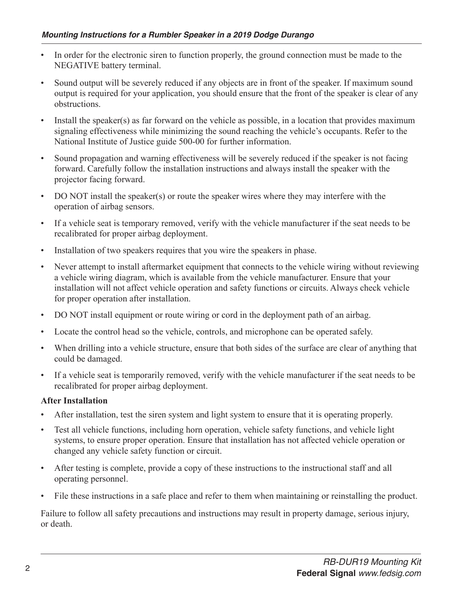- In order for the electronic siren to function properly, the ground connection must be made to the NEGATIVE battery terminal.
- Sound output will be severely reduced if any objects are in front of the speaker. If maximum sound output is required for your application, you should ensure that the front of the speaker is clear of any obstructions.
- Install the speaker(s) as far forward on the vehicle as possible, in a location that provides maximum signaling effectiveness while minimizing the sound reaching the vehicle's occupants. Refer to the National Institute of Justice guide 500-00 for further information.
- Sound propagation and warning effectiveness will be severely reduced if the speaker is not facing forward. Carefully follow the installation instructions and always install the speaker with the projector facing forward.
- DO NOT install the speaker(s) or route the speaker wires where they may interfere with the operation of airbag sensors.
- If a vehicle seat is temporary removed, verify with the vehicle manufacturer if the seat needs to be recalibrated for proper airbag deployment.
- Installation of two speakers requires that you wire the speakers in phase.
- Never attempt to install aftermarket equipment that connects to the vehicle wiring without reviewing a vehicle wiring diagram, which is available from the vehicle manufacturer. Ensure that your installation will not affect vehicle operation and safety functions or circuits. Always check vehicle for proper operation after installation.
- DO NOT install equipment or route wiring or cord in the deployment path of an airbag.
- Locate the control head so the vehicle, controls, and microphone can be operated safely.
- When drilling into a vehicle structure, ensure that both sides of the surface are clear of anything that could be damaged.
- If a vehicle seat is temporarily removed, verify with the vehicle manufacturer if the seat needs to be recalibrated for proper airbag deployment.

#### **After Installation**

- After installation, test the siren system and light system to ensure that it is operating properly.
- Test all vehicle functions, including horn operation, vehicle safety functions, and vehicle light systems, to ensure proper operation. Ensure that installation has not affected vehicle operation or changed any vehicle safety function or circuit.
- After testing is complete, provide a copy of these instructions to the instructional staff and all operating personnel.
- File these instructions in a safe place and refer to them when maintaining or reinstalling the product.

Failure to follow all safety precautions and instructions may result in property damage, serious injury, or death.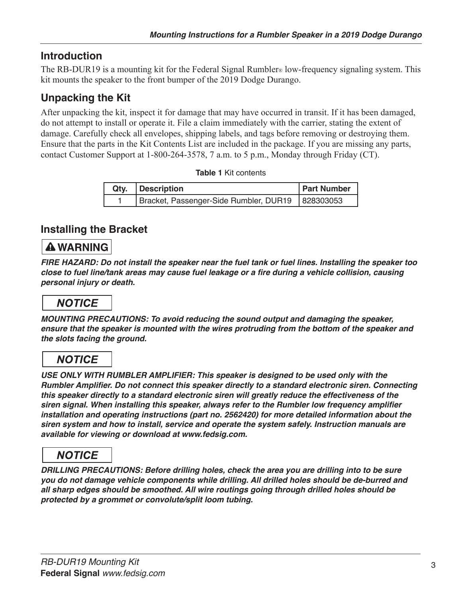## **Introduction**

The RB-DUR19 is a mounting kit for the Federal Signal Rumbler® low-frequency signaling system. This kit mounts the speaker to the front bumper of the 2019 Dodge Durango.

# **Unpacking the Kit**

After unpacking the kit, inspect it for damage that may have occurred in transit. If it has been damaged, do not attempt to install or operate it. File a claim immediately with the carrier, stating the extent of damage. Carefully check all envelopes, shipping labels, and tags before removing or destroying them. Ensure that the parts in the Kit Contents List are included in the package. If you are missing any parts, contact Customer Support at 1-800-264-3578, 7 a.m. to 5 p.m., Monday through Friday (CT).

|  |  | <b>Table 1 Kit contents</b> |
|--|--|-----------------------------|
|--|--|-----------------------------|

| Qty.   Description                                 | <b>Part Number</b> |
|----------------------------------------------------|--------------------|
| Bracket, Passenger-Side Rumbler, DUR19   828303053 |                    |

### **Installing the Bracket**

### **A WARNING**

*FIRE HAZARD: Do not install the speaker near the fuel tank or fuel lines. Installing the speaker too*  **close to fuel line/tank areas may cause fuel leakage or a fire during a vehicle collision, causing**  *personal injury or death.*

# **NOTICE**

**MOUNTING PRECAUTIONS: To avoid reducing the sound output and damaging the speaker,**  *ensure that the speaker is mounted with the wires protruding from the bottom of the speaker and the slots facing the ground.* 

# **NOTICE**

*USE ONLY WITH RUMBLER AMPLIFIER: This speaker is designed to be used only with the*  **Rumbler Amplifier. Do not connect this speaker directly to a standard electronic siren. Connecting this speaker directly to a standard electronic siren will greatly reduce the effectiveness of the siren signal. When installing this speaker, always refer to the Rumbler low frequency amplifier**  installation and operating instructions (part no. 2562420) for more detailed information about the **siren system and how to install, service and operate the system safely. Instruction manuals are available for viewing or download at www.fedsig.com.** 

# **NOTICE**

**DRILLING PRECAUTIONS: Before drilling holes, check the area you are drilling into to be sure you do not damage vehicle components while drilling. All drilled holes should be de-burred and**  *all sharp edges should be smoothed. All wire routings going through drilled holes should be*  **protected by a grommet or convolute/split loom tubing.**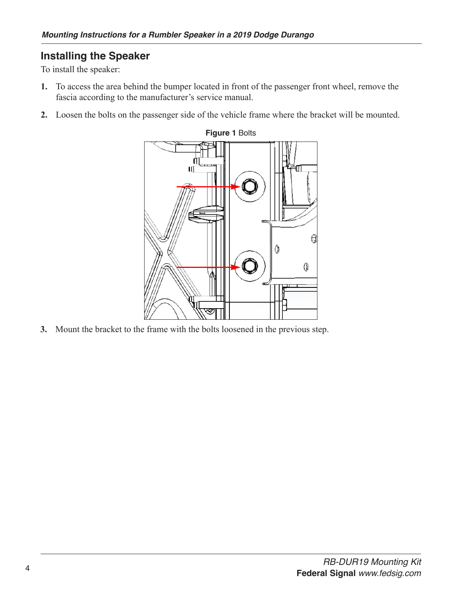### **Installing the Speaker**

To install the speaker:

- **1.** To access the area behind the bumper located in front of the passenger front wheel, remove the fascia according to the manufacturer's service manual.
- **2.** Loosen the bolts on the passenger side of the vehicle frame where the bracket will be mounted.



**3.** Mount the bracket to the frame with the bolts loosened in the previous step.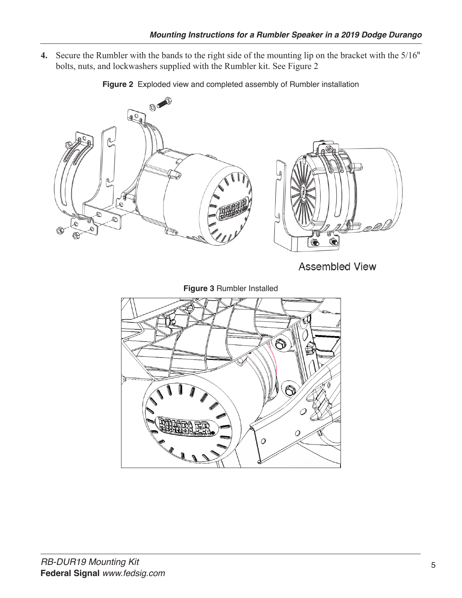**4.** Secure the Rumbler with the bands to the right side of the mounting lip on the bracket with the 5/16" bolts, nuts, and lockwashers supplied with the Rumbler kit. See Figure 2



**Figure 2** Exploded view and completed assembly of Rumbler installation

**Assembled View** 

**Figure 3** Rumbler Installed

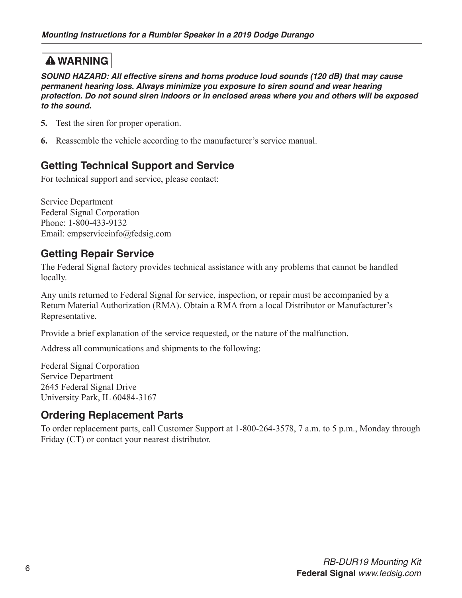# **A WARNING**

**SOUND HAZARD: All effective sirens and horns produce loud sounds (120 dB) that may cause**  *permanent hearing loss. Always minimize you exposure to siren sound and wear hearing protection. Do not sound siren indoors or in enclosed areas where you and others will be exposed to the sound.*

- **5.** Test the siren for proper operation.
- **6.** Reassemble the vehicle according to the manufacturer's service manual.

## **Getting Technical Support and Service**

For technical support and service, please contact:

Service Department Federal Signal Corporation Phone: 1-800-433-9132 Email: empserviceinfo@fedsig.com

### **Getting Repair Service**

The Federal Signal factory provides technical assistance with any problems that cannot be handled locally.

Any units returned to Federal Signal for service, inspection, or repair must be accompanied by a Return Material Authorization (RMA). Obtain a RMA from a local Distributor or Manufacturer's Representative.

Provide a brief explanation of the service requested, or the nature of the malfunction.

Address all communications and shipments to the following:

Federal Signal Corporation Service Department 2645 Federal Signal Drive University Park, IL 60484-3167

### **Ordering Replacement Parts**

To order replacement parts, call Customer Support at 1-800-264-3578, 7 a.m. to 5 p.m., Monday through Friday (CT) or contact your nearest distributor.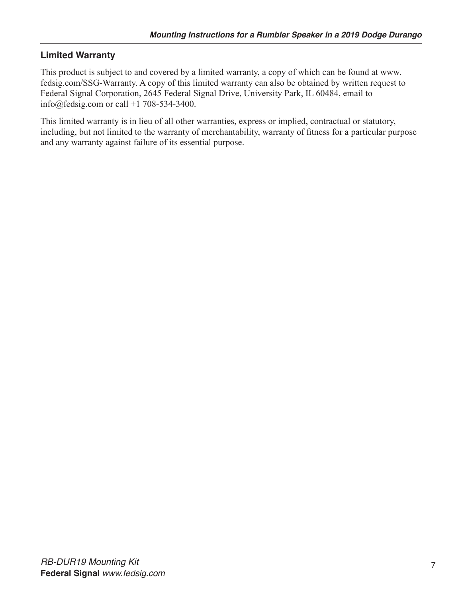### **Limited Warranty**

This product is subject to and covered by a limited warranty, a copy of which can be found at www. fedsig.com/SSG-Warranty. A copy of this limited warranty can also be obtained by written request to Federal Signal Corporation, 2645 Federal Signal Drive, University Park, IL 60484, email to info@fedsig.com or call +1 708-534-3400.

This limited warranty is in lieu of all other warranties, express or implied, contractual or statutory, including, but not limited to the warranty of merchantability, warranty of fitness for a particular purpose and any warranty against failure of its essential purpose.